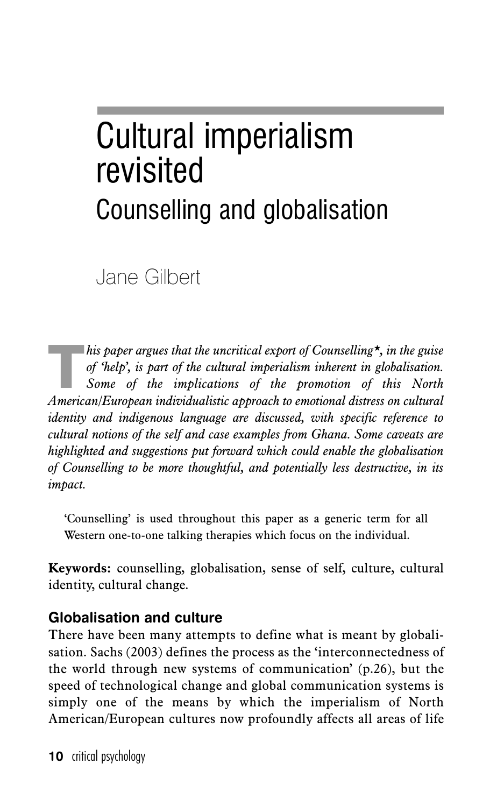# Cultural imperialism revisited Counselling and globalisation

Jane Gilbert

*his paper argues that the uncritical export of Counselling\*, in the guise*<br>of 'help', is part of the cultural imperialism inherent in globalisation.<br>Some of the implications of the promotion of this North<br>American Europea *of 'help', is part of the cultural imperialism inherent in globalisation. Some of the implications of the promotion of this North American/European individualistic approach to emotional distress on cultural identity and indigenous language are discussed, with specific reference to cultural notions of the self and case examples from Ghana. Some caveats are highlighted and suggestions put forward which could enable the globalisation of Counselling to be more thoughtful, and potentially less destructive, in its impact.*

'Counselling' is used throughout this paper as a generic term for all Western one-to-one talking therapies which focus on the individual.

**Keywords:** counselling, globalisation, sense of self, culture, cultural identity, cultural change.

# **Globalisation and culture**

There have been many attempts to define what is meant by globalisation. Sachs (2003) defines the process as the 'interconnectedness of the world through new systems of communication' (p.26), but the speed of technological change and global communication systems is simply one of the means by which the imperialism of North American/European cultures now profoundly affects all areas of life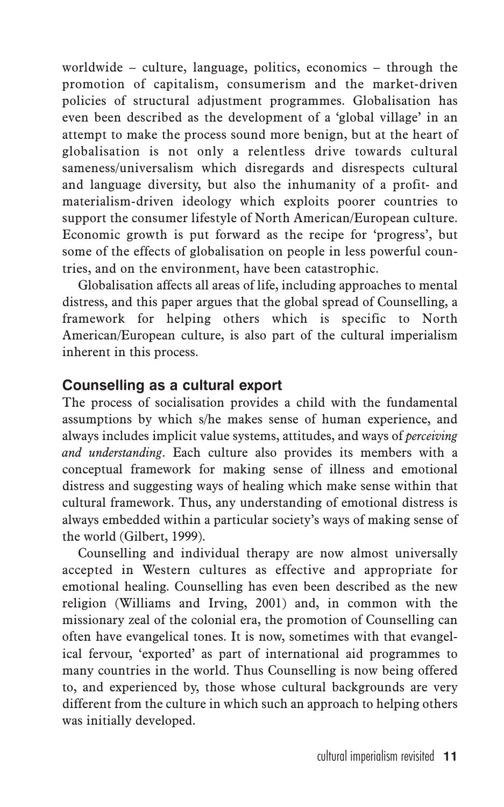worldwide – culture, language, politics, economics – through the promotion of capitalism, consumerism and the market-driven policies of structural adjustment programmes. Globalisation has even been described as the development of a 'global village' in an attempt to make the process sound more benign, but at the heart of globalisation is not only a relentless drive towards cultural sameness/universalism which disregards and disrespects cultural and language diversity, but also the inhumanity of a profit- and materialism-driven ideology which exploits poorer countries to support the consumer lifestyle of North American/European culture. Economic growth is put forward as the recipe for 'progress', but some of the effects of globalisation on people in less powerful countries, and on the environment, have been catastrophic.

Globalisation affects all areas of life, including approaches to mental distress, and this paper argues that the global spread of Counselling, a framework for helping others which is specific to North American/European culture, is also part of the cultural imperialism inherent in this process.

# **Counselling as a cultural export**

The process of socialisation provides a child with the fundamental assumptions by which s/he makes sense of human experience, and always includes implicit value systems, attitudes, and ways of *perceiving and understanding*. Each culture also provides its members with a conceptual framework for making sense of illness and emotional distress and suggesting ways of healing which make sense within that cultural framework. Thus, any understanding of emotional distress is always embedded within a particular society's ways of making sense of the world (Gilbert, 1999).

Counselling and individual therapy are now almost universally accepted in Western cultures as effective and appropriate for emotional healing. Counselling has even been described as the new religion (Williams and Irving, 2001) and, in common with the missionary zeal of the colonial era, the promotion of Counselling can often have evangelical tones. It is now, sometimes with that evangelical fervour, 'exported' as part of international aid programmes to many countries in the world. Thus Counselling is now being offered to, and experienced by, those whose cultural backgrounds are very different from the culture in which such an approach to helping others was initially developed.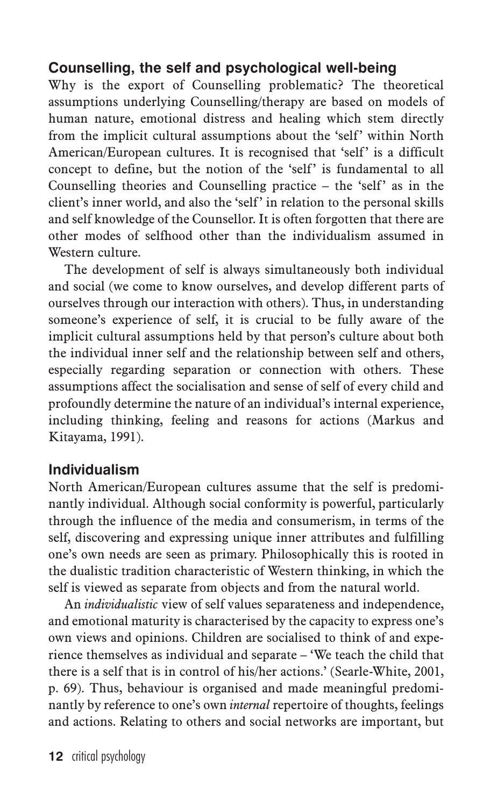# **Counselling, the self and psychological well-being**

Why is the export of Counselling problematic? The theoretical assumptions underlying Counselling/therapy are based on models of human nature, emotional distress and healing which stem directly from the implicit cultural assumptions about the 'self' within North American/European cultures. It is recognised that 'self' is a difficult concept to define, but the notion of the 'self' is fundamental to all Counselling theories and Counselling practice  $-$  the 'self' as in the client's inner world, and also the 'self' in relation to the personal skills and self knowledge of the Counsellor. It is often forgotten that there are other modes of selfhood other than the individualism assumed in Western culture.

The development of self is always simultaneously both individual and social (we come to know ourselves, and develop different parts of ourselves through our interaction with others). Thus, in understanding someone's experience of self, it is crucial to be fully aware of the implicit cultural assumptions held by that person's culture about both the individual inner self and the relationship between self and others, especially regarding separation or connection with others. These assumptions affect the socialisation and sense of self of every child and profoundly determine the nature of an individual's internal experience, including thinking, feeling and reasons for actions (Markus and Kitayama, 1991).

# **Individualism**

North American/European cultures assume that the self is predominantly individual. Although social conformity is powerful, particularly through the influence of the media and consumerism, in terms of the self, discovering and expressing unique inner attributes and fulfilling one's own needs are seen as primary. Philosophically this is rooted in the dualistic tradition characteristic of Western thinking, in which the self is viewed as separate from objects and from the natural world.

An *individualistic* view of self values separateness and independence, and emotional maturity is characterised by the capacity to express one's own views and opinions. Children are socialised to think of and experience themselves as individual and separate – 'We teach the child that there is a self that is in control of his/her actions.' (Searle-White, 2001, p. 69). Thus, behaviour is organised and made meaningful predominantly by reference to one's own *internal* repertoire of thoughts, feelings and actions. Relating to others and social networks are important, but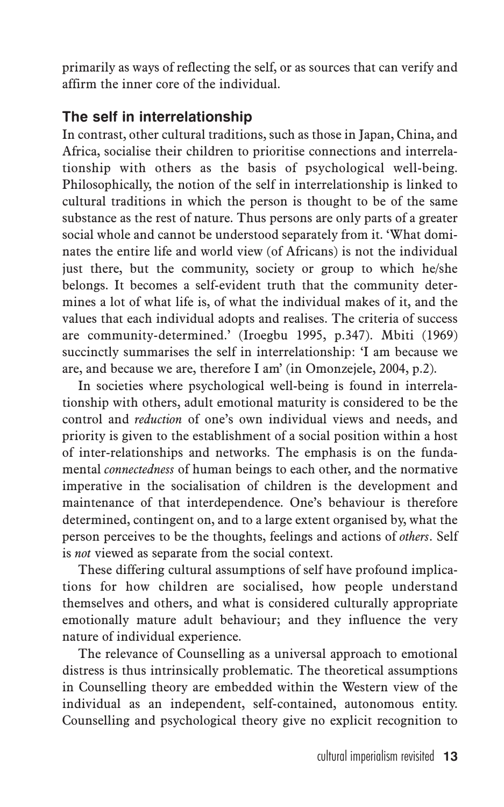primarily as ways of reflecting the self, or as sources that can verify and affirm the inner core of the individual.

# **The self in interrelationship**

In contrast, other cultural traditions, such as those in Japan, China, and Africa, socialise their children to prioritise connections and interrelationship with others as the basis of psychological well-being. Philosophically, the notion of the self in interrelationship is linked to cultural traditions in which the person is thought to be of the same substance as the rest of nature. Thus persons are only parts of a greater social whole and cannot be understood separately from it. 'What dominates the entire life and world view (of Africans) is not the individual just there, but the community, society or group to which he/she belongs. It becomes a self-evident truth that the community determines a lot of what life is, of what the individual makes of it, and the values that each individual adopts and realises. The criteria of success are community-determined.' (Iroegbu 1995, p.347). Mbiti (1969) succinctly summarises the self in interrelationship: 'I am because we are, and because we are, therefore I am' (in Omonzejele, 2004, p.2).

In societies where psychological well-being is found in interrelationship with others, adult emotional maturity is considered to be the control and *reduction* of one's own individual views and needs, and priority is given to the establishment of a social position within a host of inter-relationships and networks. The emphasis is on the fundamental *connectedness* of human beings to each other, and the normative imperative in the socialisation of children is the development and maintenance of that interdependence. One's behaviour is therefore determined, contingent on, and to a large extent organised by, what the person perceives to be the thoughts, feelings and actions of *others*. Self is *not* viewed as separate from the social context.

These differing cultural assumptions of self have profound implications for how children are socialised, how people understand themselves and others, and what is considered culturally appropriate emotionally mature adult behaviour; and they influence the very nature of individual experience.

The relevance of Counselling as a universal approach to emotional distress is thus intrinsically problematic. The theoretical assumptions in Counselling theory are embedded within the Western view of the individual as an independent, self-contained, autonomous entity. Counselling and psychological theory give no explicit recognition to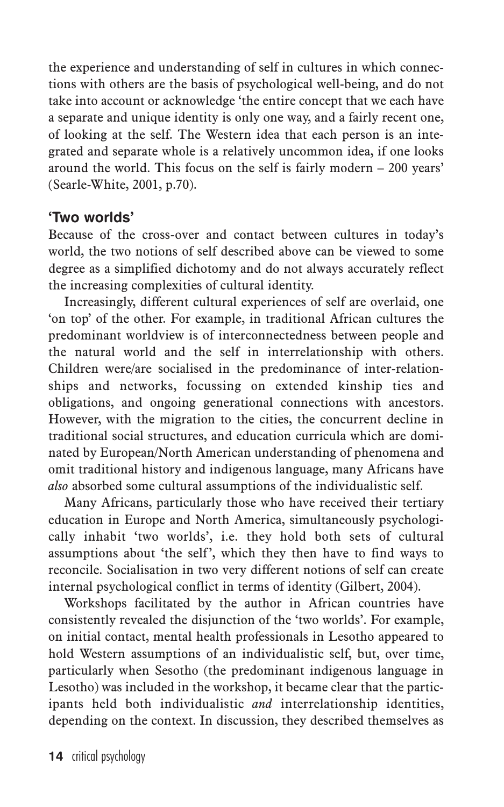the experience and understanding of self in cultures in which connections with others are the basis of psychological well-being, and do not take into account or acknowledge 'the entire concept that we each have a separate and unique identity is only one way, and a fairly recent one, of looking at the self. The Western idea that each person is an integrated and separate whole is a relatively uncommon idea, if one looks around the world. This focus on the self is fairly modern – 200 years' (Searle-White, 2001, p.70).

#### **'Two worlds'**

Because of the cross-over and contact between cultures in today's world, the two notions of self described above can be viewed to some degree as a simplified dichotomy and do not always accurately reflect the increasing complexities of cultural identity.

Increasingly, different cultural experiences of self are overlaid, one 'on top' of the other. For example, in traditional African cultures the predominant worldview is of interconnectedness between people and the natural world and the self in interrelationship with others. Children were/are socialised in the predominance of inter-relationships and networks, focussing on extended kinship ties and obligations, and ongoing generational connections with ancestors. However, with the migration to the cities, the concurrent decline in traditional social structures, and education curricula which are dominated by European/North American understanding of phenomena and omit traditional history and indigenous language, many Africans have *also* absorbed some cultural assumptions of the individualistic self.

Many Africans, particularly those who have received their tertiary education in Europe and North America, simultaneously psychologically inhabit 'two worlds', i.e. they hold both sets of cultural assumptions about 'the self', which they then have to find ways to reconcile. Socialisation in two very different notions of self can create internal psychological conflict in terms of identity (Gilbert, 2004).

Workshops facilitated by the author in African countries have consistently revealed the disjunction of the 'two worlds'. For example, on initial contact, mental health professionals in Lesotho appeared to hold Western assumptions of an individualistic self, but, over time, particularly when Sesotho (the predominant indigenous language in Lesotho) was included in the workshop, it became clear that the participants held both individualistic *and* interrelationship identities, depending on the context. In discussion, they described themselves as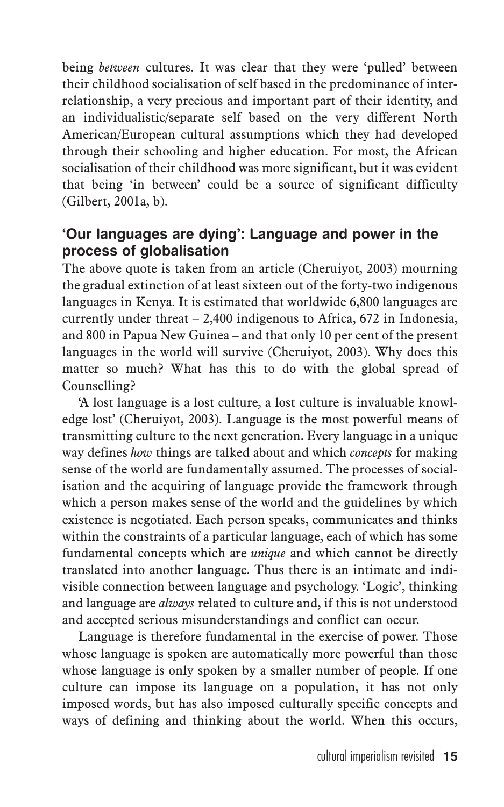being *between* cultures. It was clear that they were 'pulled' between their childhood socialisation of self based in the predominance of interrelationship, a very precious and important part of their identity, and an individualistic/separate self based on the very different North American/European cultural assumptions which they had developed through their schooling and higher education. For most, the African socialisation of their childhood was more significant, but it was evident that being 'in between' could be a source of significant difficulty (Gilbert, 2001a, b).

# **'Our languages are dying': Language and power in the process of globalisation**

The above quote is taken from an article (Cheruiyot, 2003) mourning the gradual extinction of at least sixteen out of the forty-two indigenous languages in Kenya. It is estimated that worldwide 6,800 languages are currently under threat – 2,400 indigenous to Africa, 672 in Indonesia, and 800 in Papua New Guinea – and that only 10 per cent of the present languages in the world will survive (Cheruiyot, 2003). Why does this matter so much? What has this to do with the global spread of Counselling?

'A lost language is a lost culture, a lost culture is invaluable knowledge lost' (Cheruiyot, 2003). Language is the most powerful means of transmitting culture to the next generation. Every language in a unique way defines *how* things are talked about and which *concepts* for making sense of the world are fundamentally assumed. The processes of socialisation and the acquiring of language provide the framework through which a person makes sense of the world and the guidelines by which existence is negotiated. Each person speaks, communicates and thinks within the constraints of a particular language, each of which has some fundamental concepts which are *unique* and which cannot be directly translated into another language. Thus there is an intimate and indivisible connection between language and psychology. 'Logic', thinking and language are *always* related to culture and, if this is not understood and accepted serious misunderstandings and conflict can occur.

Language is therefore fundamental in the exercise of power. Those whose language is spoken are automatically more powerful than those whose language is only spoken by a smaller number of people. If one culture can impose its language on a population, it has not only imposed words, but has also imposed culturally specific concepts and ways of defining and thinking about the world. When this occurs,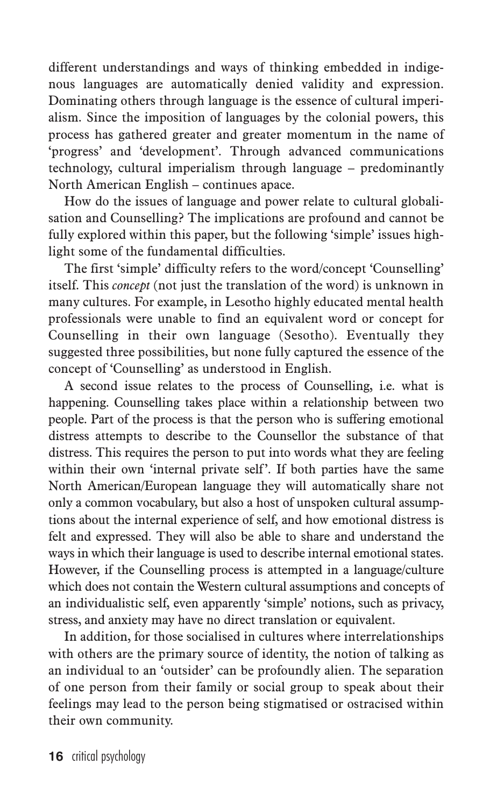different understandings and ways of thinking embedded in indigenous languages are automatically denied validity and expression. Dominating others through language is the essence of cultural imperialism. Since the imposition of languages by the colonial powers, this process has gathered greater and greater momentum in the name of 'progress' and 'development'. Through advanced communications technology, cultural imperialism through language – predominantly North American English – continues apace.

How do the issues of language and power relate to cultural globalisation and Counselling? The implications are profound and cannot be fully explored within this paper, but the following 'simple' issues highlight some of the fundamental difficulties.

The first 'simple' difficulty refers to the word/concept 'Counselling' itself. This *concept* (not just the translation of the word) is unknown in many cultures. For example, in Lesotho highly educated mental health professionals were unable to find an equivalent word or concept for Counselling in their own language (Sesotho). Eventually they suggested three possibilities, but none fully captured the essence of the concept of 'Counselling' as understood in English.

A second issue relates to the process of Counselling, i.e. what is happening. Counselling takes place within a relationship between two people. Part of the process is that the person who is suffering emotional distress attempts to describe to the Counsellor the substance of that distress. This requires the person to put into words what they are feeling within their own 'internal private self'. If both parties have the same North American/European language they will automatically share not only a common vocabulary, but also a host of unspoken cultural assumptions about the internal experience of self, and how emotional distress is felt and expressed. They will also be able to share and understand the ways in which their language is used to describe internal emotional states. However, if the Counselling process is attempted in a language/culture which does not contain the Western cultural assumptions and concepts of an individualistic self, even apparently 'simple' notions, such as privacy, stress, and anxiety may have no direct translation or equivalent.

In addition, for those socialised in cultures where interrelationships with others are the primary source of identity, the notion of talking as an individual to an 'outsider' can be profoundly alien. The separation of one person from their family or social group to speak about their feelings may lead to the person being stigmatised or ostracised within their own community.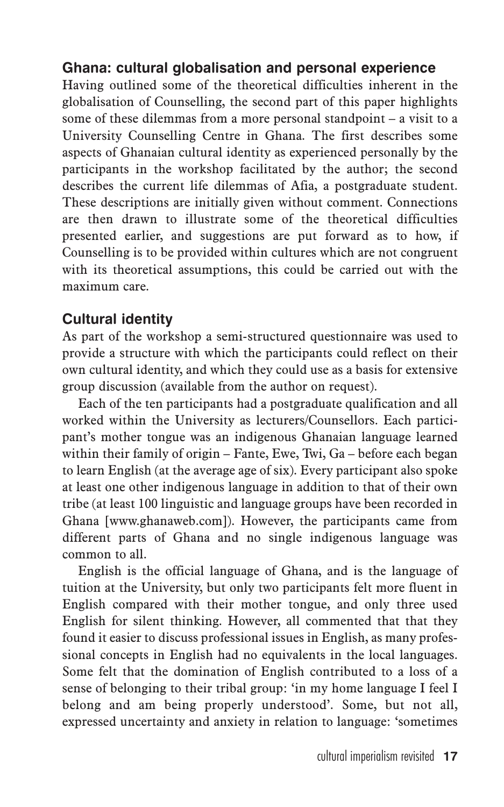### **Ghana: cultural globalisation and personal experience**

Having outlined some of the theoretical difficulties inherent in the globalisation of Counselling, the second part of this paper highlights some of these dilemmas from a more personal standpoint – a visit to a University Counselling Centre in Ghana. The first describes some aspects of Ghanaian cultural identity as experienced personally by the participants in the workshop facilitated by the author; the second describes the current life dilemmas of Afia, a postgraduate student. These descriptions are initially given without comment. Connections are then drawn to illustrate some of the theoretical difficulties presented earlier, and suggestions are put forward as to how, if Counselling is to be provided within cultures which are not congruent with its theoretical assumptions, this could be carried out with the maximum care.

# **Cultural identity**

As part of the workshop a semi-structured questionnaire was used to provide a structure with which the participants could reflect on their own cultural identity, and which they could use as a basis for extensive group discussion (available from the author on request).

Each of the ten participants had a postgraduate qualification and all worked within the University as lecturers/Counsellors. Each participant's mother tongue was an indigenous Ghanaian language learned within their family of origin – Fante, Ewe, Twi, Ga – before each began to learn English (at the average age of six). Every participant also spoke at least one other indigenous language in addition to that of their own tribe (at least 100 linguistic and language groups have been recorded in Ghana [www.ghanaweb.com]). However, the participants came from different parts of Ghana and no single indigenous language was common to all.

English is the official language of Ghana, and is the language of tuition at the University, but only two participants felt more fluent in English compared with their mother tongue, and only three used English for silent thinking. However, all commented that that they found it easier to discuss professional issues in English, as many professional concepts in English had no equivalents in the local languages. Some felt that the domination of English contributed to a loss of a sense of belonging to their tribal group: 'in my home language I feel I belong and am being properly understood'. Some, but not all, expressed uncertainty and anxiety in relation to language: 'sometimes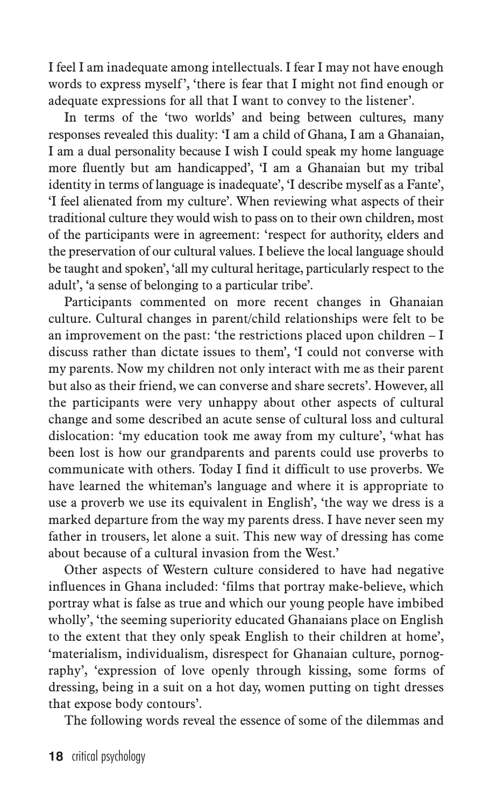I feel I am inadequate among intellectuals. I fear I may not have enough words to express myself', 'there is fear that I might not find enough or adequate expressions for all that I want to convey to the listener'.

In terms of the 'two worlds' and being between cultures, many responses revealed this duality: 'I am a child of Ghana, I am a Ghanaian, I am a dual personality because I wish I could speak my home language more fluently but am handicapped', 'I am a Ghanaian but my tribal identity in terms of language is inadequate', 'I describe myself as a Fante', 'I feel alienated from my culture'. When reviewing what aspects of their traditional culture they would wish to pass on to their own children, most of the participants were in agreement: 'respect for authority, elders and the preservation of our cultural values. I believe the local language should be taught and spoken', 'all my cultural heritage, particularly respect to the adult', 'a sense of belonging to a particular tribe'.

Participants commented on more recent changes in Ghanaian culture. Cultural changes in parent/child relationships were felt to be an improvement on the past: 'the restrictions placed upon children – I discuss rather than dictate issues to them', 'I could not converse with my parents. Now my children not only interact with me as their parent but also as their friend, we can converse and share secrets'. However, all the participants were very unhappy about other aspects of cultural change and some described an acute sense of cultural loss and cultural dislocation: 'my education took me away from my culture', 'what has been lost is how our grandparents and parents could use proverbs to communicate with others. Today I find it difficult to use proverbs. We have learned the whiteman's language and where it is appropriate to use a proverb we use its equivalent in English', 'the way we dress is a marked departure from the way my parents dress. I have never seen my father in trousers, let alone a suit. This new way of dressing has come about because of a cultural invasion from the West.'

Other aspects of Western culture considered to have had negative influences in Ghana included: 'films that portray make-believe, which portray what is false as true and which our young people have imbibed wholly', 'the seeming superiority educated Ghanaians place on English to the extent that they only speak English to their children at home', 'materialism, individualism, disrespect for Ghanaian culture, pornography', 'expression of love openly through kissing, some forms of dressing, being in a suit on a hot day, women putting on tight dresses that expose body contours'.

The following words reveal the essence of some of the dilemmas and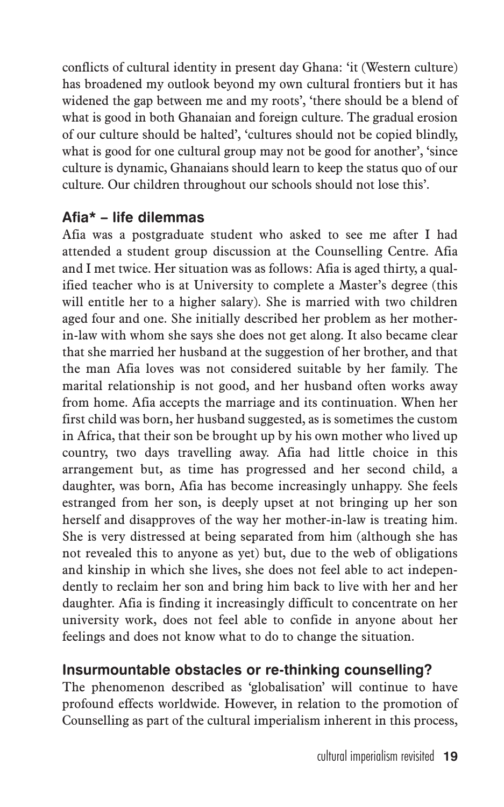conflicts of cultural identity in present day Ghana: 'it (Western culture) has broadened my outlook beyond my own cultural frontiers but it has widened the gap between me and my roots', 'there should be a blend of what is good in both Ghanaian and foreign culture. The gradual erosion of our culture should be halted', 'cultures should not be copied blindly, what is good for one cultural group may not be good for another', 'since culture is dynamic, Ghanaians should learn to keep the status quo of our culture. Our children throughout our schools should not lose this'.

# **Afia\* – life dilemmas**

Afia was a postgraduate student who asked to see me after I had attended a student group discussion at the Counselling Centre. Afia and I met twice. Her situation was as follows: Afia is aged thirty, a qualified teacher who is at University to complete a Master's degree (this will entitle her to a higher salary). She is married with two children aged four and one. She initially described her problem as her motherin-law with whom she says she does not get along. It also became clear that she married her husband at the suggestion of her brother, and that the man Afia loves was not considered suitable by her family. The marital relationship is not good, and her husband often works away from home. Afia accepts the marriage and its continuation. When her first child was born, her husband suggested, as is sometimes the custom in Africa, that their son be brought up by his own mother who lived up country, two days travelling away. Afia had little choice in this arrangement but, as time has progressed and her second child, a daughter, was born, Afia has become increasingly unhappy. She feels estranged from her son, is deeply upset at not bringing up her son herself and disapproves of the way her mother-in-law is treating him. She is very distressed at being separated from him (although she has not revealed this to anyone as yet) but, due to the web of obligations and kinship in which she lives, she does not feel able to act independently to reclaim her son and bring him back to live with her and her daughter. Afia is finding it increasingly difficult to concentrate on her university work, does not feel able to confide in anyone about her feelings and does not know what to do to change the situation.

# **Insurmountable obstacles or re-thinking counselling?**

The phenomenon described as 'globalisation' will continue to have profound effects worldwide. However, in relation to the promotion of Counselling as part of the cultural imperialism inherent in this process,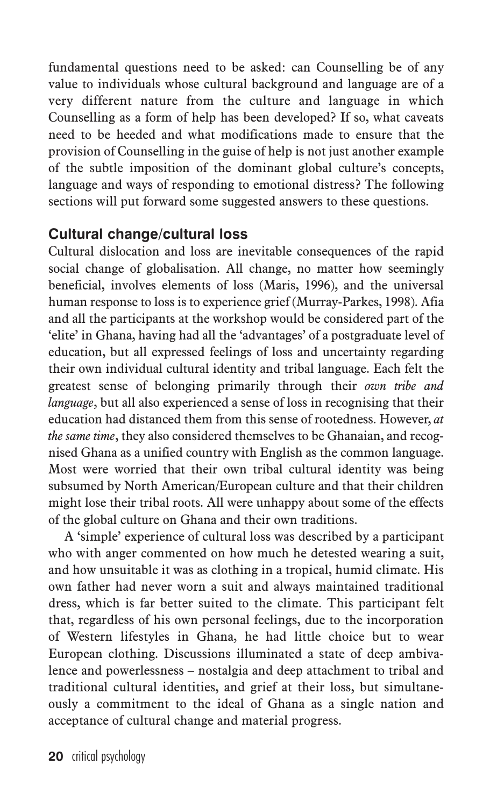fundamental questions need to be asked: can Counselling be of any value to individuals whose cultural background and language are of a very different nature from the culture and language in which Counselling as a form of help has been developed? If so, what caveats need to be heeded and what modifications made to ensure that the provision of Counselling in the guise of help is not just another example of the subtle imposition of the dominant global culture's concepts, language and ways of responding to emotional distress? The following sections will put forward some suggested answers to these questions.

# **Cultural change/cultural loss**

Cultural dislocation and loss are inevitable consequences of the rapid social change of globalisation. All change, no matter how seemingly beneficial, involves elements of loss (Maris, 1996), and the universal human response to loss is to experience grief (Murray-Parkes, 1998). Afia and all the participants at the workshop would be considered part of the 'elite' in Ghana, having had all the 'advantages' of a postgraduate level of education, but all expressed feelings of loss and uncertainty regarding their own individual cultural identity and tribal language. Each felt the greatest sense of belonging primarily through their *own tribe and language*, but all also experienced a sense of loss in recognising that their education had distanced them from this sense of rootedness. However, *at the same time*, they also considered themselves to be Ghanaian, and recognised Ghana as a unified country with English as the common language. Most were worried that their own tribal cultural identity was being subsumed by North American/European culture and that their children might lose their tribal roots. All were unhappy about some of the effects of the global culture on Ghana and their own traditions.

A 'simple' experience of cultural loss was described by a participant who with anger commented on how much he detested wearing a suit, and how unsuitable it was as clothing in a tropical, humid climate. His own father had never worn a suit and always maintained traditional dress, which is far better suited to the climate. This participant felt that, regardless of his own personal feelings, due to the incorporation of Western lifestyles in Ghana, he had little choice but to wear European clothing. Discussions illuminated a state of deep ambivalence and powerlessness – nostalgia and deep attachment to tribal and traditional cultural identities, and grief at their loss, but simultaneously a commitment to the ideal of Ghana as a single nation and acceptance of cultural change and material progress.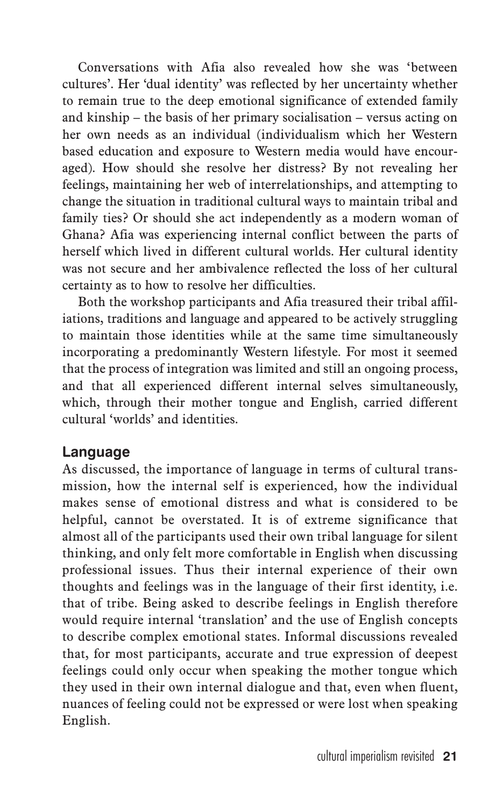Conversations with Afia also revealed how she was 'between cultures'. Her 'dual identity' was reflected by her uncertainty whether to remain true to the deep emotional significance of extended family and kinship – the basis of her primary socialisation – versus acting on her own needs as an individual (individualism which her Western based education and exposure to Western media would have encouraged). How should she resolve her distress? By not revealing her feelings, maintaining her web of interrelationships, and attempting to change the situation in traditional cultural ways to maintain tribal and family ties? Or should she act independently as a modern woman of Ghana? Afia was experiencing internal conflict between the parts of herself which lived in different cultural worlds. Her cultural identity was not secure and her ambivalence reflected the loss of her cultural certainty as to how to resolve her difficulties.

Both the workshop participants and Afia treasured their tribal affiliations, traditions and language and appeared to be actively struggling to maintain those identities while at the same time simultaneously incorporating a predominantly Western lifestyle. For most it seemed that the process of integration was limited and still an ongoing process, and that all experienced different internal selves simultaneously, which, through their mother tongue and English, carried different cultural 'worlds' and identities.

#### **Language**

As discussed, the importance of language in terms of cultural transmission, how the internal self is experienced, how the individual makes sense of emotional distress and what is considered to be helpful, cannot be overstated. It is of extreme significance that almost all of the participants used their own tribal language for silent thinking, and only felt more comfortable in English when discussing professional issues. Thus their internal experience of their own thoughts and feelings was in the language of their first identity, i.e. that of tribe. Being asked to describe feelings in English therefore would require internal 'translation' and the use of English concepts to describe complex emotional states. Informal discussions revealed that, for most participants, accurate and true expression of deepest feelings could only occur when speaking the mother tongue which they used in their own internal dialogue and that, even when fluent, nuances of feeling could not be expressed or were lost when speaking English.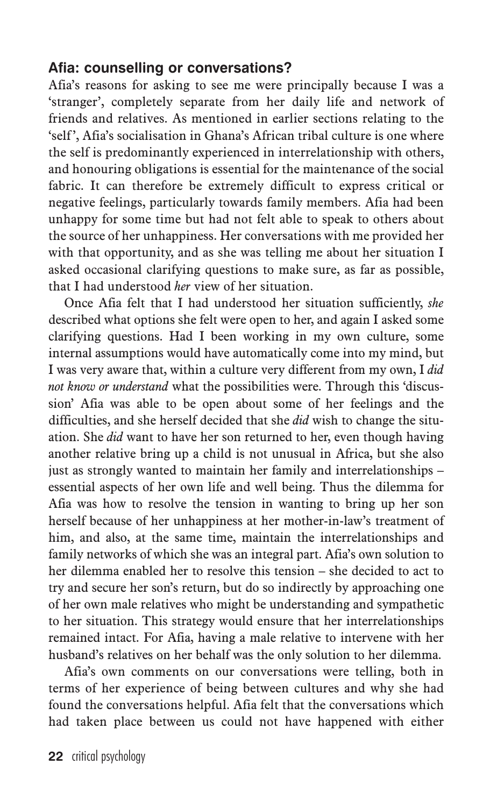### **Afia: counselling or conversations?**

Afia's reasons for asking to see me were principally because I was a 'stranger', completely separate from her daily life and network of friends and relatives. As mentioned in earlier sections relating to the 'self', Afia's socialisation in Ghana's African tribal culture is one where the self is predominantly experienced in interrelationship with others, and honouring obligations is essential for the maintenance of the social fabric. It can therefore be extremely difficult to express critical or negative feelings, particularly towards family members. Afia had been unhappy for some time but had not felt able to speak to others about the source of her unhappiness. Her conversations with me provided her with that opportunity, and as she was telling me about her situation I asked occasional clarifying questions to make sure, as far as possible, that I had understood *her* view of her situation.

Once Afia felt that I had understood her situation sufficiently, *she* described what options she felt were open to her, and again I asked some clarifying questions. Had I been working in my own culture, some internal assumptions would have automatically come into my mind, but I was very aware that, within a culture very different from my own, I *did not know or understand* what the possibilities were. Through this 'discussion' Afia was able to be open about some of her feelings and the difficulties, and she herself decided that she *did* wish to change the situation. She *did* want to have her son returned to her, even though having another relative bring up a child is not unusual in Africa, but she also just as strongly wanted to maintain her family and interrelationships – essential aspects of her own life and well being. Thus the dilemma for Afia was how to resolve the tension in wanting to bring up her son herself because of her unhappiness at her mother-in-law's treatment of him, and also, at the same time, maintain the interrelationships and family networks of which she was an integral part. Afia's own solution to her dilemma enabled her to resolve this tension – she decided to act to try and secure her son's return, but do so indirectly by approaching one of her own male relatives who might be understanding and sympathetic to her situation. This strategy would ensure that her interrelationships remained intact. For Afia, having a male relative to intervene with her husband's relatives on her behalf was the only solution to her dilemma.

Afia's own comments on our conversations were telling, both in terms of her experience of being between cultures and why she had found the conversations helpful. Afia felt that the conversations which had taken place between us could not have happened with either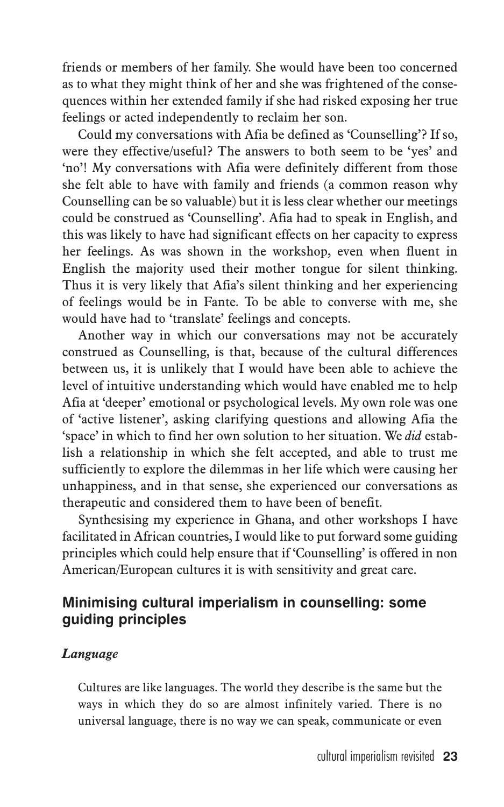friends or members of her family. She would have been too concerned as to what they might think of her and she was frightened of the consequences within her extended family if she had risked exposing her true feelings or acted independently to reclaim her son.

Could my conversations with Afia be defined as 'Counselling'? If so, were they effective/useful? The answers to both seem to be 'yes' and 'no'! My conversations with Afia were definitely different from those she felt able to have with family and friends (a common reason why Counselling can be so valuable) but it is less clear whether our meetings could be construed as 'Counselling'. Afia had to speak in English, and this was likely to have had significant effects on her capacity to express her feelings. As was shown in the workshop, even when fluent in English the majority used their mother tongue for silent thinking. Thus it is very likely that Afia's silent thinking and her experiencing of feelings would be in Fante. To be able to converse with me, she would have had to 'translate' feelings and concepts.

Another way in which our conversations may not be accurately construed as Counselling, is that, because of the cultural differences between us, it is unlikely that I would have been able to achieve the level of intuitive understanding which would have enabled me to help Afia at 'deeper' emotional or psychological levels. My own role was one of 'active listener', asking clarifying questions and allowing Afia the 'space' in which to find her own solution to her situation. We *did* establish a relationship in which she felt accepted, and able to trust me sufficiently to explore the dilemmas in her life which were causing her unhappiness, and in that sense, she experienced our conversations as therapeutic and considered them to have been of benefit.

Synthesising my experience in Ghana, and other workshops I have facilitated in African countries, I would like to put forward some guiding principles which could help ensure that if 'Counselling' is offered in non American/European cultures it is with sensitivity and great care.

#### **Minimising cultural imperialism in counselling: some guiding principles**

#### *Language*

Cultures are like languages. The world they describe is the same but the ways in which they do so are almost infinitely varied. There is no universal language, there is no way we can speak, communicate or even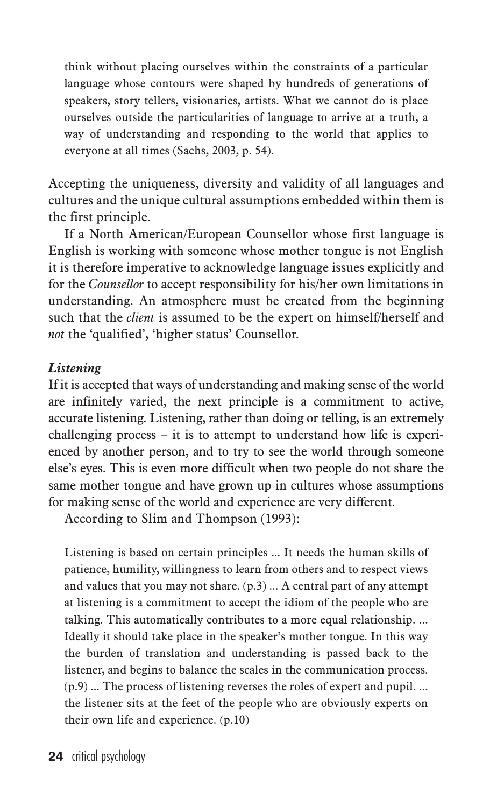think without placing ourselves within the constraints of a particular language whose contours were shaped by hundreds of generations of speakers, story tellers, visionaries, artists. What we cannot do is place ourselves outside the particularities of language to arrive at a truth, a way of understanding and responding to the world that applies to everyone at all times (Sachs, 2003, p. 54).

Accepting the uniqueness, diversity and validity of all languages and cultures and the unique cultural assumptions embedded within them is the first principle.

If a North American/European Counsellor whose first language is English is working with someone whose mother tongue is not English it is therefore imperative to acknowledge language issues explicitly and for the *Counsellor* to accept responsibility for his/her own limitations in understanding. An atmosphere must be created from the beginning such that the *client* is assumed to be the expert on himself/herself and *not* the 'qualified', 'higher status' Counsellor.

#### *Listening*

If it is accepted that ways of understanding and making sense of the world are infinitely varied, the next principle is a commitment to active, accurate listening. Listening, rather than doing or telling, is an extremely challenging process – it is to attempt to understand how life is experienced by another person, and to try to see the world through someone else's eyes. This is even more difficult when two people do not share the same mother tongue and have grown up in cultures whose assumptions for making sense of the world and experience are very different.

According to Slim and Thompson (1993):

Listening is based on certain principles ... It needs the human skills of patience, humility, willingness to learn from others and to respect views and values that you may not share. (p.3) ... A central part of any attempt at listening is a commitment to accept the idiom of the people who are talking. This automatically contributes to a more equal relationship. ... Ideally it should take place in the speaker's mother tongue. In this way the burden of translation and understanding is passed back to the listener, and begins to balance the scales in the communication process. (p.9) ... The process of listening reverses the roles of expert and pupil. ... the listener sits at the feet of the people who are obviously experts on their own life and experience. (p.10)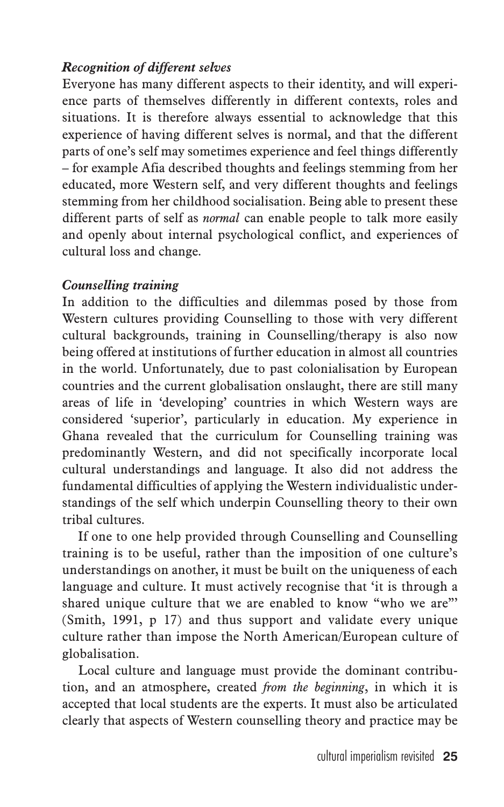### *Recognition of different selves*

Everyone has many different aspects to their identity, and will experience parts of themselves differently in different contexts, roles and situations. It is therefore always essential to acknowledge that this experience of having different selves is normal, and that the different parts of one's self may sometimes experience and feel things differently – for example Afia described thoughts and feelings stemming from her educated, more Western self, and very different thoughts and feelings stemming from her childhood socialisation. Being able to present these different parts of self as *normal* can enable people to talk more easily and openly about internal psychological conflict, and experiences of cultural loss and change.

#### *Counselling training*

In addition to the difficulties and dilemmas posed by those from Western cultures providing Counselling to those with very different cultural backgrounds, training in Counselling/therapy is also now being offered at institutions of further education in almost all countries in the world. Unfortunately, due to past colonialisation by European countries and the current globalisation onslaught, there are still many areas of life in 'developing' countries in which Western ways are considered 'superior', particularly in education. My experience in Ghana revealed that the curriculum for Counselling training was predominantly Western, and did not specifically incorporate local cultural understandings and language. It also did not address the fundamental difficulties of applying the Western individualistic understandings of the self which underpin Counselling theory to their own tribal cultures.

If one to one help provided through Counselling and Counselling training is to be useful, rather than the imposition of one culture's understandings on another, it must be built on the uniqueness of each language and culture. It must actively recognise that 'it is through a shared unique culture that we are enabled to know "who we are"' (Smith, 1991, p 17) and thus support and validate every unique culture rather than impose the North American/European culture of globalisation.

Local culture and language must provide the dominant contribution, and an atmosphere, created *from the beginning*, in which it is accepted that local students are the experts. It must also be articulated clearly that aspects of Western counselling theory and practice may be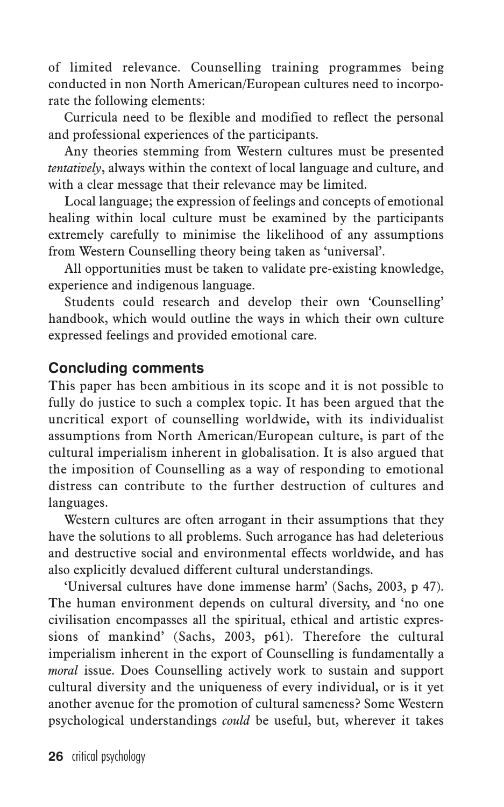of limited relevance. Counselling training programmes being conducted in non North American/European cultures need to incorporate the following elements:

Curricula need to be flexible and modified to reflect the personal and professional experiences of the participants.

Any theories stemming from Western cultures must be presented *tentatively*, always within the context of local language and culture, and with a clear message that their relevance may be limited.

Local language; the expression of feelings and concepts of emotional healing within local culture must be examined by the participants extremely carefully to minimise the likelihood of any assumptions from Western Counselling theory being taken as 'universal'.

All opportunities must be taken to validate pre-existing knowledge, experience and indigenous language.

Students could research and develop their own 'Counselling' handbook, which would outline the ways in which their own culture expressed feelings and provided emotional care.

#### **Concluding comments**

This paper has been ambitious in its scope and it is not possible to fully do justice to such a complex topic. It has been argued that the uncritical export of counselling worldwide, with its individualist assumptions from North American/European culture, is part of the cultural imperialism inherent in globalisation. It is also argued that the imposition of Counselling as a way of responding to emotional distress can contribute to the further destruction of cultures and languages.

Western cultures are often arrogant in their assumptions that they have the solutions to all problems. Such arrogance has had deleterious and destructive social and environmental effects worldwide, and has also explicitly devalued different cultural understandings.

'Universal cultures have done immense harm' (Sachs, 2003, p 47). The human environment depends on cultural diversity, and 'no one civilisation encompasses all the spiritual, ethical and artistic expressions of mankind' (Sachs, 2003, p61). Therefore the cultural imperialism inherent in the export of Counselling is fundamentally a *moral* issue. Does Counselling actively work to sustain and support cultural diversity and the uniqueness of every individual, or is it yet another avenue for the promotion of cultural sameness? Some Western psychological understandings *could* be useful, but, wherever it takes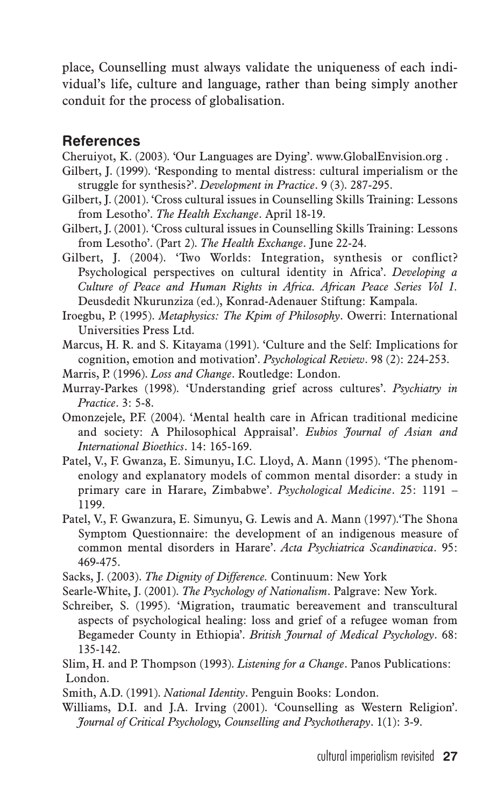place, Counselling must always validate the uniqueness of each individual's life, culture and language, rather than being simply another conduit for the process of globalisation.

#### **References**

Cheruiyot, K. (2003). 'Our Languages are Dying'. www.GlobalEnvision.org .

- Gilbert, J. (1999). 'Responding to mental distress: cultural imperialism or the struggle for synthesis?'. *Development in Practice*. 9 (3). 287-295.
- Gilbert, J. (2001). 'Cross cultural issues in Counselling Skills Training: Lessons from Lesotho'. *The Health Exchange*. April 18-19.
- Gilbert, J. (2001). 'Cross cultural issues in Counselling Skills Training: Lessons from Lesotho'. (Part 2). *The Health Exchange*. June 22-24.

Gilbert, J. (2004). 'Two Worlds: Integration, synthesis or conflict? Psychological perspectives on cultural identity in Africa'. *Developing a Culture of Peace and Human Rights in Africa. African Peace Series Vol 1.* Deusdedit Nkurunziza (ed.), Konrad-Adenauer Stiftung: Kampala.

- Iroegbu, P. (1995). *Metaphysics: The Kpim of Philosophy*. Owerri: International Universities Press Ltd.
- Marcus, H. R. and S. Kitayama (1991). 'Culture and the Self: Implications for cognition, emotion and motivation'. *Psychological Review*. 98 (2): 224-253.
- Marris, P. (1996). *Loss and Change*. Routledge: London.
- Murray-Parkes (1998). 'Understanding grief across cultures'. *Psychiatry in Practice*. 3: 5-8.
- Omonzejele, P.F. (2004). 'Mental health care in African traditional medicine and society: A Philosophical Appraisal'. *Eubios Journal of Asian and International Bioethics*. 14: 165-169.
- Patel, V., F. Gwanza, E. Simunyu, I.C. Lloyd, A. Mann (1995). 'The phenomenology and explanatory models of common mental disorder: a study in primary care in Harare, Zimbabwe'. *Psychological Medicine*. 25: 1191 – 1199.
- Patel, V., F. Gwanzura, E. Simunyu, G. Lewis and A. Mann (1997).'The Shona Symptom Questionnaire: the development of an indigenous measure of common mental disorders in Harare'. *Acta Psychiatrica Scandinavica*. 95: 469-475.
- Sacks, J. (2003). *The Dignity of Difference.* Continuum: New York
- Searle-White, J. (2001). *The Psychology of Nationalism*. Palgrave: New York.
- Schreiber, S. (1995). 'Migration, traumatic bereavement and transcultural aspects of psychological healing: loss and grief of a refugee woman from Begameder County in Ethiopia'. *British Journal of Medical Psychology*. 68: 135-142.
- Slim, H. and P. Thompson (1993). *Listening for a Change*. Panos Publications: London.
- Smith, A.D. (1991). *National Identity*. Penguin Books: London.
- Williams, D.I. and J.A. Irving (2001). 'Counselling as Western Religion'. *Journal of Critical Psychology, Counselling and Psychotherapy*. 1(1): 3-9.